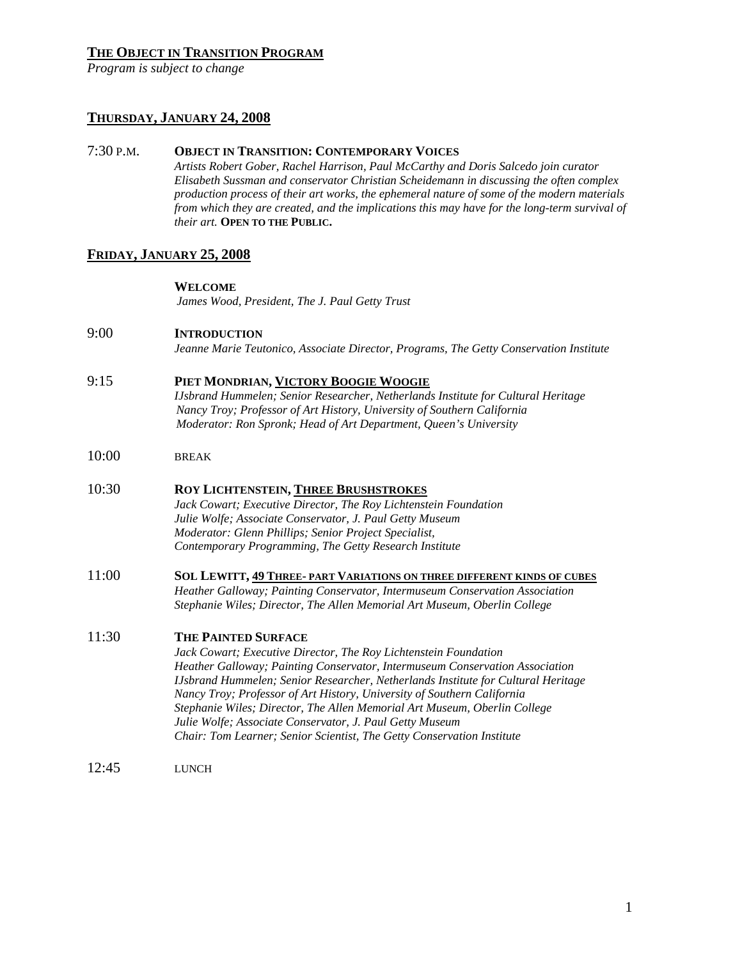# **THE OBJECT IN TRANSITION PROGRAM**

*Program is subject to change* 

# **THURSDAY, JANUARY 24, 2008**

### 7:30 P.M. **OBJECT IN TRANSITION: CONTEMPORARY VOICES**

*Artists Robert Gober, Rachel Harrison, Paul McCarthy and Doris Salcedo join curator Elisabeth Sussman and conservator Christian Scheidemann in discussing the often complex production process of their art works, the ephemeral nature of some of the modern materials from which they are created, and the implications this may have for the long-term survival of their art.* **OPEN TO THE PUBLIC.**

# **FRIDAY, JANUARY 25, 2008**

### **WELCOME**

*James Wood, President, The J. Paul Getty Trust*

# 9:00 **INTRODUCTION**

*Jeanne Marie Teutonico, Associate Director, Programs, The Getty Conservation Institute* 

# 9:15 **PIET MONDRIAN, VICTORY BOOGIE WOOGIE**

*IJsbrand Hummelen; Senior Researcher, Netherlands Institute for Cultural Heritage Nancy Troy; Professor of Art History, University of Southern California Moderator: Ron Spronk; Head of Art Department, Queen's University* 

10:00 BREAK

# 10:30 **ROY LICHTENSTEIN, THREE BRUSHSTROKES**

 *Jack Cowart; Executive Director, The Roy Lichtenstein Foundation Julie Wolfe; Associate Conservator, J. Paul Getty Museum Moderator: Glenn Phillips; Senior Project Specialist, Contemporary Programming, The Getty Research Institute* 

### 11:00 **SOL LEWITT, 49 THREE- PART VARIATIONS ON THREE DIFFERENT KINDS OF CUBES** *Heather Galloway; Painting Conservator, Intermuseum Conservation Association Stephanie Wiles; Director, The Allen Memorial Art Museum, Oberlin College*

# 11:30 **THE PAINTED SURFACE**

 *Jack Cowart; Executive Director, The Roy Lichtenstein Foundation Heather Galloway; Painting Conservator, Intermuseum Conservation Association IJsbrand Hummelen; Senior Researcher, Netherlands Institute for Cultural Heritage Nancy Troy; Professor of Art History, University of Southern California Stephanie Wiles; Director, The Allen Memorial Art Museum, Oberlin College Julie Wolfe; Associate Conservator, J. Paul Getty Museum Chair: Tom Learner; Senior Scientist, The Getty Conservation Institute* 

12:45 LUNCH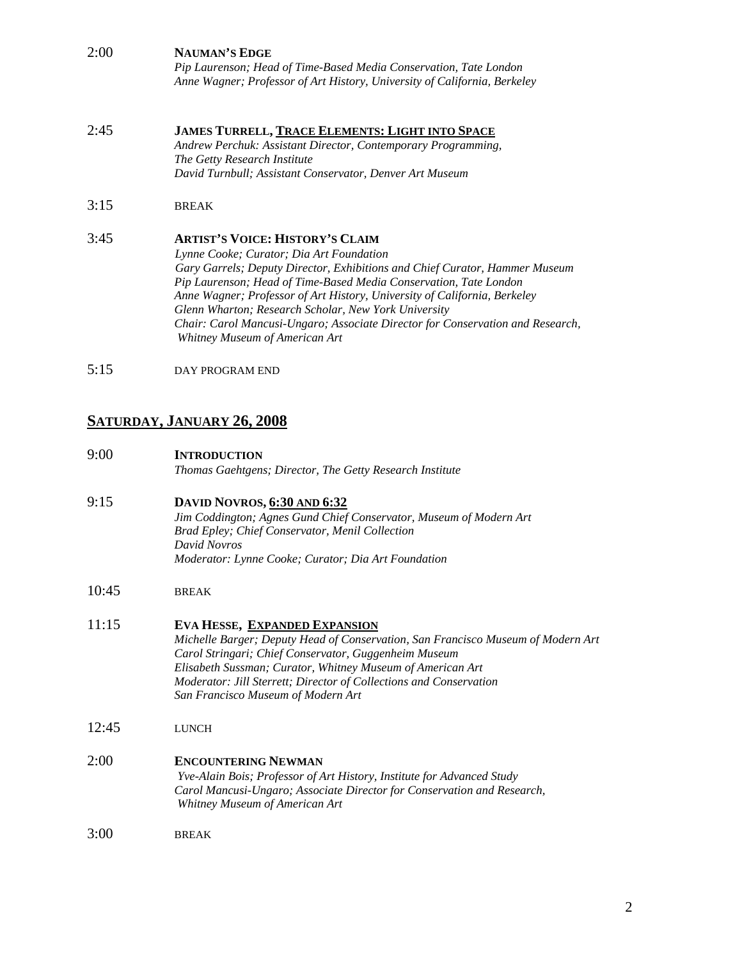# 2:00 **NAUMAN'S EDGE**

*Pip Laurenson; Head of Time-Based Media Conservation, Tate London Anne Wagner; Professor of Art History, University of California, Berkeley* 

#### 2:45 **JAMES TURRELL, TRACE ELEMENTS: LIGHT INTO SPACE** *Andrew Perchuk: Assistant Director, Contemporary Programming, The Getty Research Institute David Turnbull; Assistant Conservator, Denver Art Museum*

# 3:15 BREAK

# 3:45 **ARTIST'S VOICE: HISTORY'S CLAIM**

*Lynne Cooke; Curator; Dia Art Foundation Gary Garrels; Deputy Director, Exhibitions and Chief Curator, Hammer Museum Pip Laurenson; Head of Time-Based Media Conservation, Tate London Anne Wagner; Professor of Art History, University of California, Berkeley Glenn Wharton; Research Scholar, New York University Chair: Carol Mancusi-Ungaro; Associate Director for Conservation and Research, Whitney Museum of American Art* 

5:15 DAY PROGRAM END

# **SATURDAY, JANUARY 26, 2008**

# 9:00 **INTRODUCTION**

*Thomas Gaehtgens; Director, The Getty Research Institute* 

### 9:15 **DAVID NOVROS, 6:30 AND 6:32** *Jim Coddington; Agnes Gund Chief Conservator, Museum of Modern Art Brad Epley; Chief Conservator, Menil Collection David Novros Moderator: Lynne Cooke; Curator; Dia Art Foundation*

10:45 BREAK

# 11:15 **EVA HESSE, EXPANDED EXPANSION**

*Michelle Barger; Deputy Head of Conservation, San Francisco Museum of Modern Art Carol Stringari; Chief Conservator, Guggenheim Museum Elisabeth Sussman; Curator, Whitney Museum of American Art Moderator: Jill Sterrett; Director of Collections and Conservation San Francisco Museum of Modern Art* 

12:45 LUNCH

# 2:00 **ENCOUNTERING NEWMAN**

 *Yve-Alain Bois; Professor of Art History, Institute for Advanced Study Carol Mancusi-Ungaro; Associate Director for Conservation and Research, Whitney Museum of American Art* 

3:00 BREAK